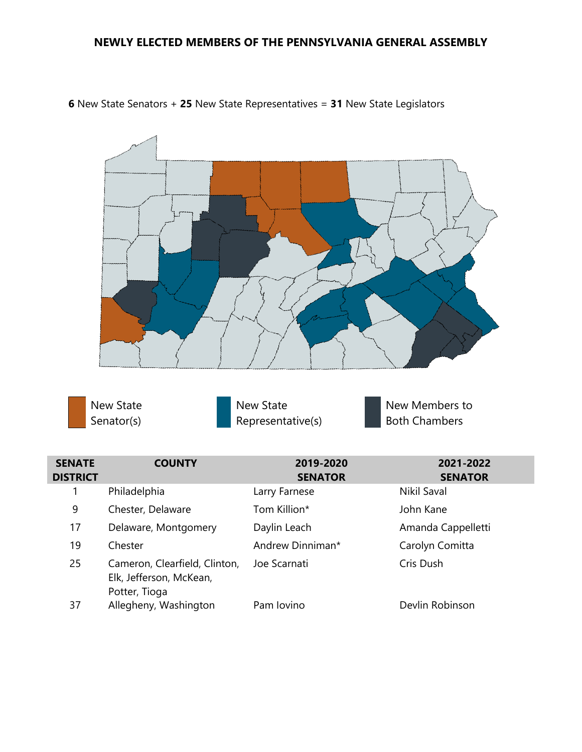## **NEWLY ELECTED MEMBERS OF THE PENNSYLVANIA GENERAL ASSEMBLY**



**6** New State Senators + **25** New State Representatives = **31** New State Legislators



New State Representative(s)

New Members to Both Chambers

| <b>SENATE</b><br><b>DISTRICT</b> | <b>COUNTY</b>                                                             | 2019-2020<br><b>SENATOR</b> | 2021-2022<br><b>SENATOR</b> |
|----------------------------------|---------------------------------------------------------------------------|-----------------------------|-----------------------------|
|                                  | Philadelphia                                                              | Larry Farnese               | Nikil Saval                 |
| 9                                | Chester, Delaware                                                         | Tom Killion*                | John Kane                   |
| 17                               | Delaware, Montgomery                                                      | Daylin Leach                | Amanda Cappelletti          |
| 19                               | Chester                                                                   | Andrew Dinniman*            | Carolyn Comitta             |
| 25                               | Cameron, Clearfield, Clinton,<br>Elk, Jefferson, McKean,<br>Potter, Tioga | Joe Scarnati                | Cris Dush                   |
| 37                               | Allegheny, Washington                                                     | Pam Iovino                  | Devlin Robinson             |